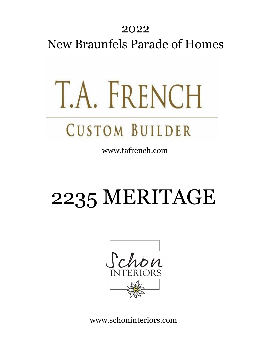#### 2022 New Braunfels Parade of Homes

# T.A. FRENCH

### **CUSTOM BUILDER**

www.tafrench.com

## 2235 MERITAGE



www.schoninteriors.com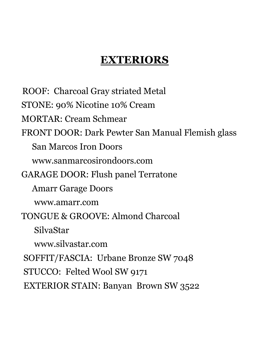#### **EXTERIORS**

 ROOF: Charcoal Gray striated Metal STONE: 90% Nicotine 10% Cream MORTAR: Cream Schmear FRONT DOOR: Dark Pewter San Manual Flemish glass San Marcos Iron Doors www.sanmarcosirondoors.com GARAGE DOOR: Flush panel Terratone Amarr Garage Doors www.amarr.com TONGUE & GROOVE: Almond Charcoal SilvaStar www.silvastar.com SOFFIT/FASCIA: Urbane Bronze SW 7048 STUCCO: Felted Wool SW 9171 EXTERIOR STAIN: Banyan Brown SW 3522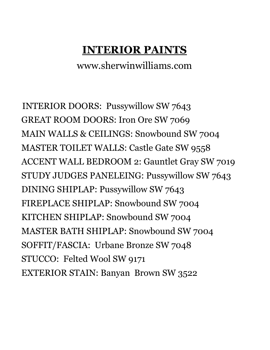#### **INTERIOR PAINTS**

www.sherwinwilliams.com

 INTERIOR DOORS: Pussywillow SW 7643 GREAT ROOM DOORS: Iron Ore SW 7069 MAIN WALLS & CEILINGS: Snowbound SW 7004 MASTER TOILET WALLS: Castle Gate SW 9558 ACCENT WALL BEDROOM 2: Gauntlet Gray SW 7019 STUDY JUDGES PANELEING: Pussywillow SW 7643 DINING SHIPLAP: Pussywillow SW 7643 FIREPLACE SHIPLAP: Snowbound SW 7004 KITCHEN SHIPLAP: Snowbound SW 7004 MASTER BATH SHIPLAP: Snowbound SW 7004 SOFFIT/FASCIA: Urbane Bronze SW 7048 STUCCO: Felted Wool SW 9171 EXTERIOR STAIN: Banyan Brown SW 3522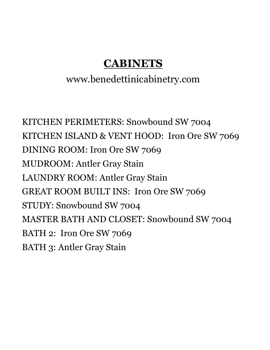#### **CABINETS**

#### www.benedettinicabinetry.com

KITCHEN PERIMETERS: Snowbound SW 7004 KITCHEN ISLAND & VENT HOOD: Iron Ore SW 7069 DINING ROOM: Iron Ore SW 7069 MUDROOM: Antler Gray Stain LAUNDRY ROOM: Antler Gray Stain GREAT ROOM BUILT INS: Iron Ore SW 7069 STUDY: Snowbound SW 7004 MASTER BATH AND CLOSET: Snowbound SW 7004 BATH 2: Iron Ore SW 7069 BATH 3: Antler Gray Stain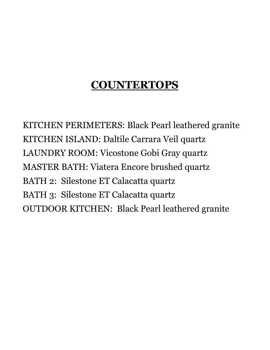#### **COUNTERTOPS**

KITCHEN PERIMETERS: Black Pearl leathered granite KITCHEN ISLAND: Daltile Carrara Veil quartz LAUNDRY ROOM: Vicostone Gobi Gray quartz MASTER BATH: Viatera Encore brushed quartz BATH 2: Silestone ET Calacatta quartz BATH 3: Silestone ET Calacatta quartz OUTDOOR KITCHEN: Black Pearl leathered granite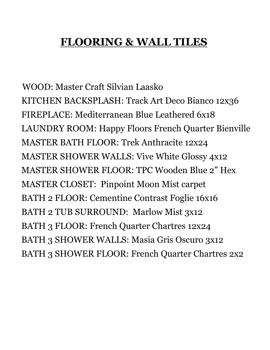#### **FLOORING & WALL TILES**

 WOOD: Master Craft Silvian Laasko KITCHEN BACKSPLASH: Track Art Deco Bianco 12x36 FIREPLACE: Mediterranean Blue Leathered 6x18 LAUNDRY ROOM: Happy Floors French Quarter Bienville MASTER BATH FLOOR: Trek Anthracite 12x24 MASTER SHOWER WALLS: Vive White Glossy 4x12 MASTER SHOWER FLOOR: TPC Wooden Blue 2" Hex MASTER CLOSET: Pinpoint Moon Mist carpet BATH 2 FLOOR: Cementine Contrast Foglie 16x16 BATH 2 TUB SURROUND: Marlow Mist 3x12 BATH 3 FLOOR: French Quarter Chartres 12x24 BATH 3 SHOWER WALLS: Masia Gris Oscuro 3x12 BATH 3 SHOWER FLOOR: French Quarter Chartres 2x2